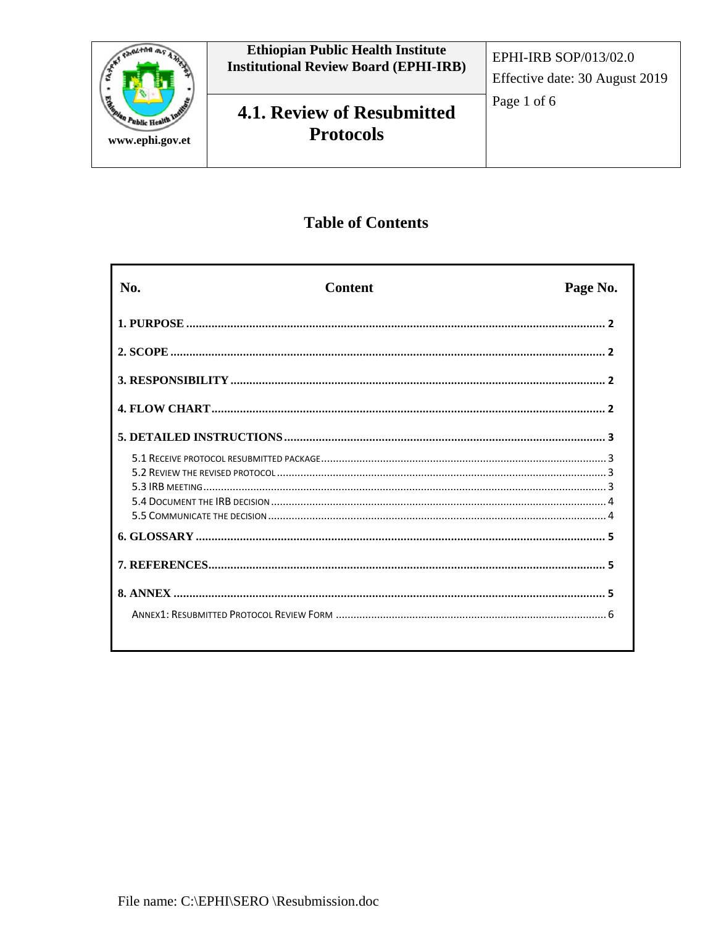

# **Table of Contents**

| No. | <b>Content</b> | Page No. |
|-----|----------------|----------|
|     |                |          |
|     |                |          |
|     |                |          |
|     |                |          |
|     |                |          |
|     |                |          |
|     |                |          |
|     |                |          |
|     |                |          |
|     |                |          |
|     |                |          |
|     |                |          |
|     |                |          |
|     |                |          |
|     |                |          |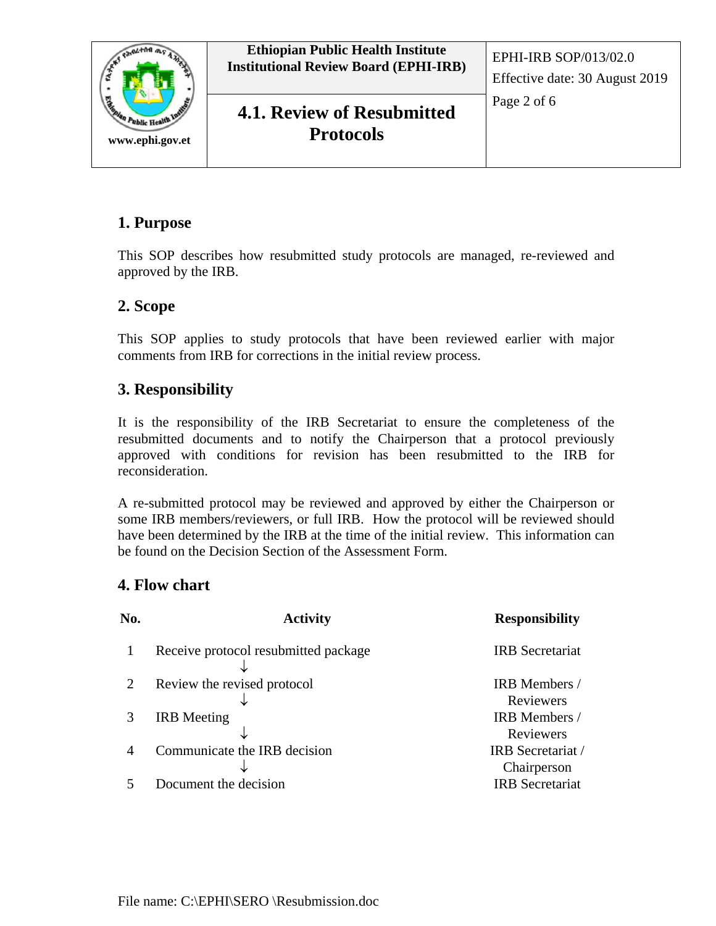

## **1. Purpose**

This SOP describes how resubmitted study protocols are managed, re-reviewed and approved by the IRB.

### **2. Scope**

This SOP applies to study protocols that have been reviewed earlier with major comments from IRB for corrections in the initial review process.

### **3. Responsibility**

It is the responsibility of the IRB Secretariat to ensure the completeness of the resubmitted documents and to notify the Chairperson that a protocol previously approved with conditions for revision has been resubmitted to the IRB for reconsideration.

A re-submitted protocol may be reviewed and approved by either the Chairperson or some IRB members/reviewers, or full IRB. How the protocol will be reviewed should have been determined by the IRB at the time of the initial review. This information can be found on the Decision Section of the Assessment Form.

### **4. Flow chart**

| No. | <b>Activity</b>                      | <b>Responsibility</b>            |
|-----|--------------------------------------|----------------------------------|
|     | Receive protocol resubmitted package | <b>IRB</b> Secretariat           |
|     | Review the revised protocol          | IRB Members /<br>Reviewers       |
|     | <b>IRB</b> Meeting                   | IRB Members /<br>Reviewers       |
|     | Communicate the IRB decision         | IRB Secretariat /<br>Chairperson |
|     | Document the decision                | <b>IRB</b> Secretariat           |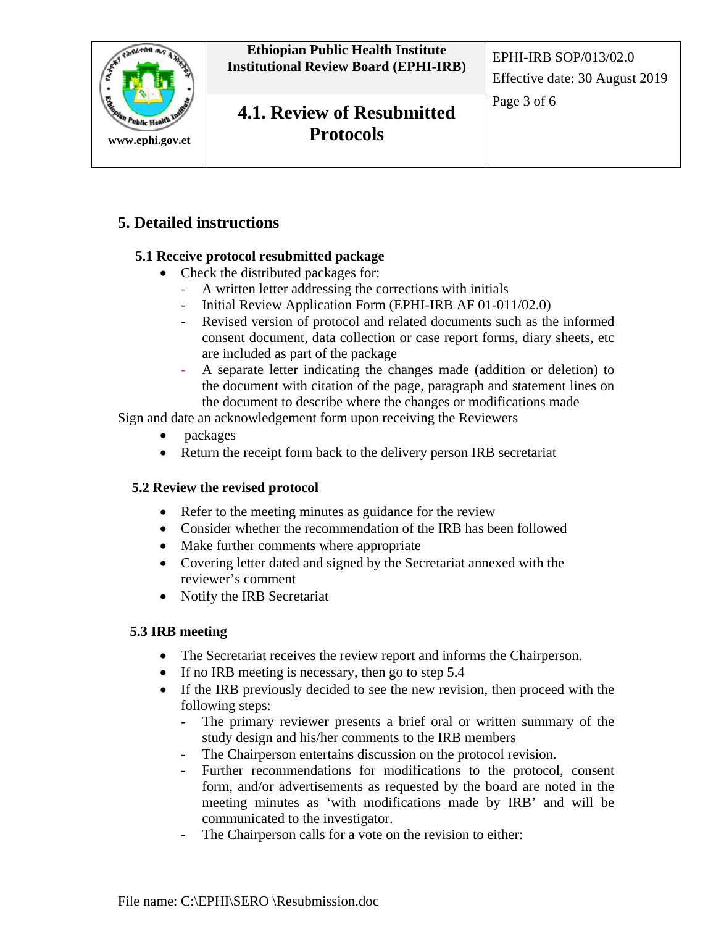

## **5. Detailed instructions**

### **5.1 Receive protocol resubmitted package**

- Check the distributed packages for:
	- A written letter addressing the corrections with initials
	- Initial Review Application Form (EPHI-IRB AF 01-011/02.0)
	- Revised version of protocol and related documents such as the informed consent document, data collection or case report forms, diary sheets, etc are included as part of the package
	- A separate letter indicating the changes made (addition or deletion) to the document with citation of the page, paragraph and statement lines on the document to describe where the changes or modifications made

Sign and date an acknowledgement form upon receiving the Reviewers

- packages
- Return the receipt form back to the delivery person IRB secretariat

#### **5.2 Review the revised protocol**

- Refer to the meeting minutes as guidance for the review
- Consider whether the recommendation of the IRB has been followed
- Make further comments where appropriate
- Covering letter dated and signed by the Secretariat annexed with the reviewer's comment
- Notify the IRB Secretariat

#### **5.3 IRB meeting**

- The Secretariat receives the review report and informs the Chairperson.
- If no IRB meeting is necessary, then go to step 5.4
- If the IRB previously decided to see the new revision, then proceed with the following steps:
	- The primary reviewer presents a brief oral or written summary of the study design and his/her comments to the IRB members
	- The Chairperson entertains discussion on the protocol revision.
	- Further recommendations for modifications to the protocol, consent form, and/or advertisements as requested by the board are noted in the meeting minutes as 'with modifications made by IRB' and will be communicated to the investigator.
	- The Chairperson calls for a vote on the revision to either: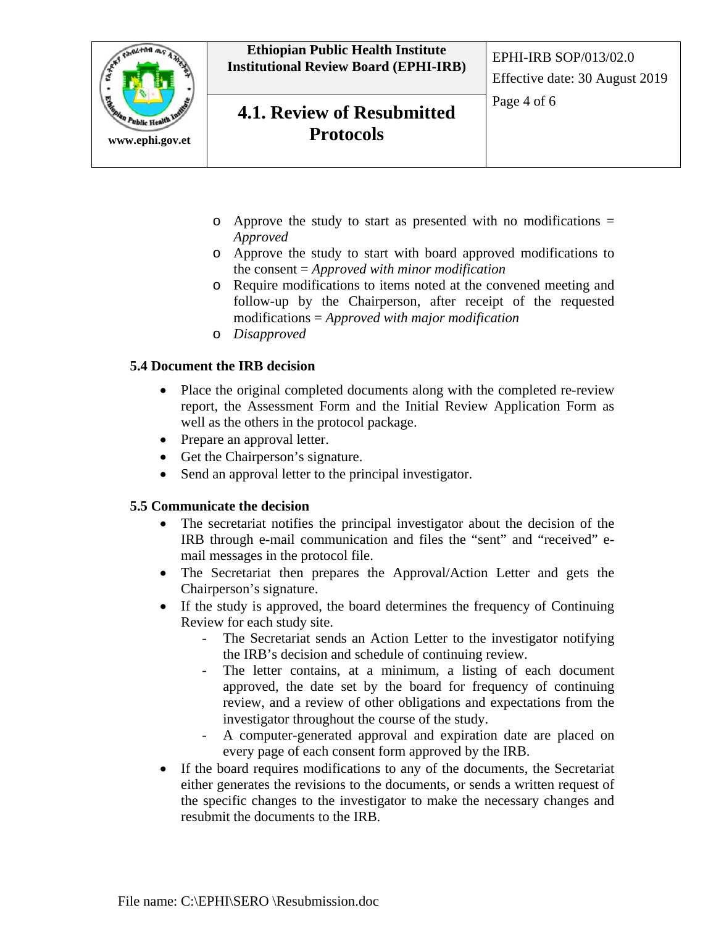

- $\circ$  Approve the study to start as presented with no modifications = *Approved*
- o Approve the study to start with board approved modifications to the consent = *Approved with minor modification*
- o Require modifications to items noted at the convened meeting and follow-up by the Chairperson, after receipt of the requested modifications = *Approved with major modification*
- o *Disapproved*

#### **5.4 Document the IRB decision**

- Place the original completed documents along with the completed re-review report, the Assessment Form and the Initial Review Application Form as well as the others in the protocol package.
- Prepare an approval letter.
- Get the Chairperson's signature.
- Send an approval letter to the principal investigator.

#### **5.5 Communicate the decision**

- The secretariat notifies the principal investigator about the decision of the IRB through e-mail communication and files the "sent" and "received" email messages in the protocol file.
- The Secretariat then prepares the Approval/Action Letter and gets the Chairperson's signature.
- If the study is approved, the board determines the frequency of Continuing Review for each study site.
	- The Secretariat sends an Action Letter to the investigator notifying the IRB's decision and schedule of continuing review.
	- The letter contains, at a minimum, a listing of each document approved, the date set by the board for frequency of continuing review, and a review of other obligations and expectations from the investigator throughout the course of the study.
	- A computer-generated approval and expiration date are placed on every page of each consent form approved by the IRB.
- If the board requires modifications to any of the documents, the Secretariat either generates the revisions to the documents, or sends a written request of the specific changes to the investigator to make the necessary changes and resubmit the documents to the IRB.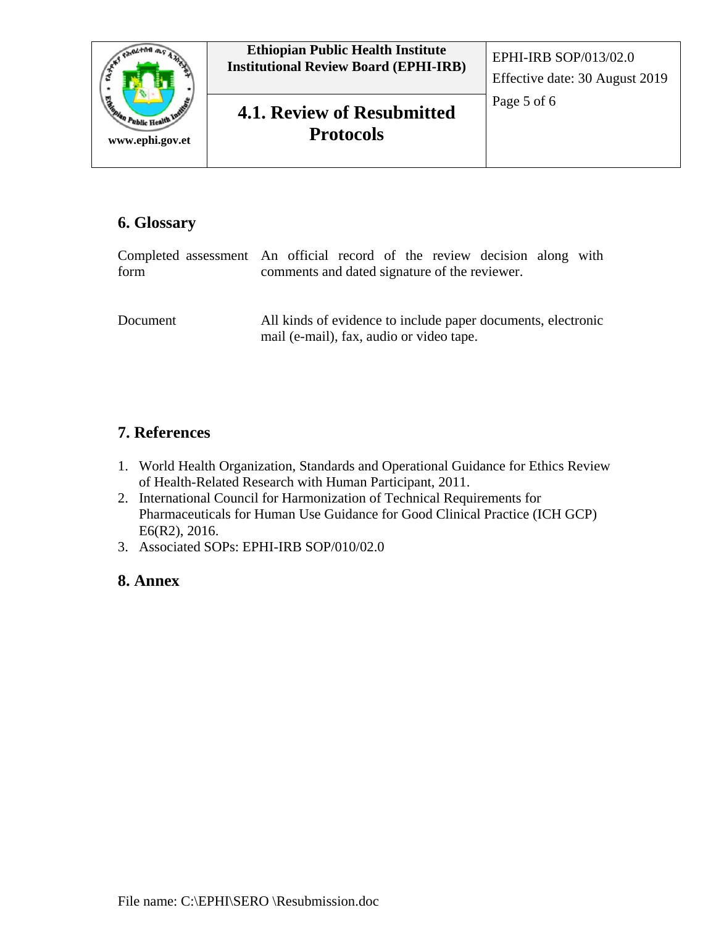

# **6. Glossary**

|          | Completed assessment An official record of the review decision along with                                |  |  |  |  |
|----------|----------------------------------------------------------------------------------------------------------|--|--|--|--|
| form     | comments and dated signature of the reviewer.                                                            |  |  |  |  |
|          |                                                                                                          |  |  |  |  |
| Document | All kinds of evidence to include paper documents, electronic<br>mail (e-mail), fax, audio or video tape. |  |  |  |  |

## **7. References**

- 1. World Health Organization, Standards and Operational Guidance for Ethics Review of Health-Related Research with Human Participant, 2011.
- 2. International Council for Harmonization of Technical Requirements for Pharmaceuticals for Human Use Guidance for Good Clinical Practice (ICH GCP) E6(R2), 2016.
- 3. Associated SOPs: EPHI-IRB SOP/010/02.0

## **8. Annex**